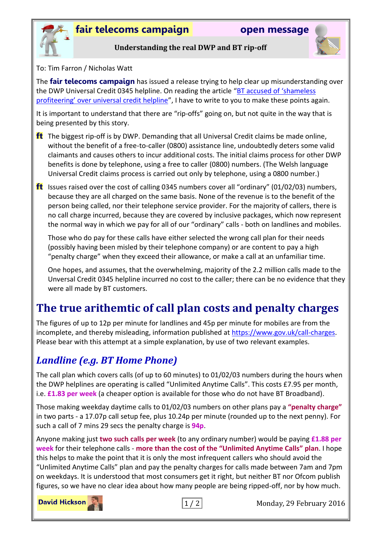

**Understanding the real DWP and BT rip-off**

To: Tim Farron / Nicholas Watt

The **fair telecoms campaign** has issued a release trying to help clear up misunderstanding over the DWP Universal Credit 0345 helpline. On reading the article ["BT accused of 'shameless](http://www.theguardian.com/society/2016/feb/28/bt-profiteering-universal-credit-helpline)  [profiteering' over universal credit helpline"](http://www.theguardian.com/society/2016/feb/28/bt-profiteering-universal-credit-helpline), I have to write to you to make these points again.

It is important to understand that there are "rip-offs" going on, but not quite in the way that is being presented by this story.

- **ft** The biggest rip-off is by DWP. Demanding that all Universal Credit claims be made online, without the benefit of a free-to-caller (0800) assistance line, undoubtedly deters some valid claimants and causes others to incur additional costs. The initial claims process for other DWP benefits is done by telephone, using a free to caller (0800) numbers. (The Welsh language Universal Credit claims process is carried out only by telephone, using a 0800 number.)
- **ft** Issues raised over the cost of calling 0345 numbers cover all "ordinary" (01/02/03) numbers, because they are all charged on the same basis. None of the revenue is to the benefit of the person being called, nor their telephone service provider. For the majority of callers, there is no call charge incurred, because they are covered by inclusive packages, which now represent the normal way in which we pay for all of our "ordinary" calls - both on landlines and mobiles.

Those who do pay for these calls have either selected the wrong call plan for their needs (possibly having been misled by their telephone company) or are content to pay a high "penalty charge" when they exceed their allowance, or make a call at an unfamiliar time.

One hopes, and assumes, that the overwhelming, majority of the 2.2 million calls made to the Unversal Credit 0345 helpline incurred no cost to the caller; there can be no evidence that they were all made by BT customers.

# **The true arithemtic of call plan costs and penalty charges**

The figures of up to 12p per minute for landlines and 45p per minute for mobiles are from the incomplete, and thereby misleading, information published at [https://www.gov.uk/call-charges.](https://www.gov.uk/call-charges) Please bear with this attempt at a simple explanation, by use of two relevant examples.

#### *Landline (e.g. BT Home Phone)*

The call plan which covers calls (of up to 60 minutes) to 01/02/03 numbers during the hours when the DWP helplines are operating is called "Unlimited Anytime Calls". This costs £7.95 per month, i.e. **£1.83 per week** (a cheaper option is available for those who do not have BT Broadband).

Those making weekday daytime calls to 01/02/03 numbers on other plans pay a **"penalty charge"** in two parts - a 17.07p call setup fee, plus 10.24p per minute (rounded up to the next penny). For such a call of 7 mins 29 secs the penalty charge is **94p**.

Anyone making just **two such calls per week** (to any ordinary number) would be paying **£1.88 per week** for their telephone calls - **more than the cost of the "Unlimited Anytime Calls" plan**. I hope this helps to make the point that it is only the most infrequent callers who should avoid the "Unlimited Anytime Calls" plan and pay the penalty charges for calls made between 7am and 7pm on weekdays. It is understood that most consumers get it right, but neither BT nor Ofcom publish figures, so we have no clear idea about how many people are being ripped-off, nor by how much.

**David Hickson** 



1 / 2 Monday, 29 February 2016